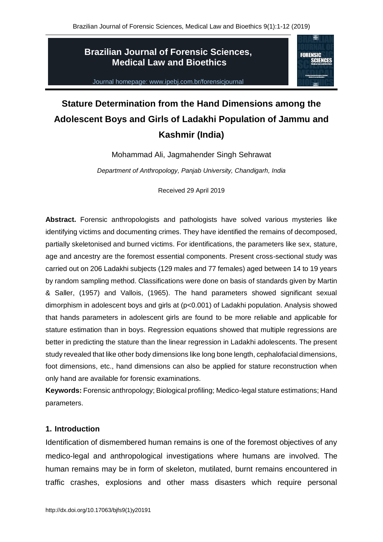**FORENSIC** 

# **Brazilian Journal of Forensic Sciences, Medical Law and Bioethics**

Journal homepage: www.ipebj.com.br/forensicjournal

# **Stature Determination from the Hand Dimensions among the Adolescent Boys and Girls of Ladakhi Population of Jammu and Kashmir (India)**

Mohammad Ali, Jagmahender Singh Sehrawat

*Department of Anthropology, Panjab University, Chandigarh, India*

Received 29 April 2019

**Abstract.** Forensic anthropologists and pathologists have solved various mysteries like identifying victims and documenting crimes. They have identified the remains of decomposed, partially skeletonised and burned victims. For identifications, the parameters like sex, stature, age and ancestry are the foremost essential components. Present cross-sectional study was carried out on 206 Ladakhi subjects (129 males and 77 females) aged between 14 to 19 years by random sampling method. Classifications were done on basis of standards given by Martin & Saller, (1957) and Vallois, (1965). The hand parameters showed significant sexual dimorphism in adolescent boys and girls at (p<0.001) of Ladakhi population. Analysis showed that hands parameters in adolescent girls are found to be more reliable and applicable for stature estimation than in boys. Regression equations showed that multiple regressions are better in predicting the stature than the linear regression in Ladakhi adolescents. The present study revealed that like other body dimensions like long bone length, cephalofacial dimensions, foot dimensions, etc., hand dimensions can also be applied for stature reconstruction when only hand are available for forensic examinations.

**Keywords:** Forensic anthropology; Biological profiling; Medico-legal stature estimations; Hand parameters.

# **1. Introduction**

Identification of dismembered human remains is one of the foremost objectives of any medico-legal and anthropological investigations where humans are involved. The human remains may be in form of skeleton, mutilated, burnt remains encountered in traffic crashes, explosions and other mass disasters which require personal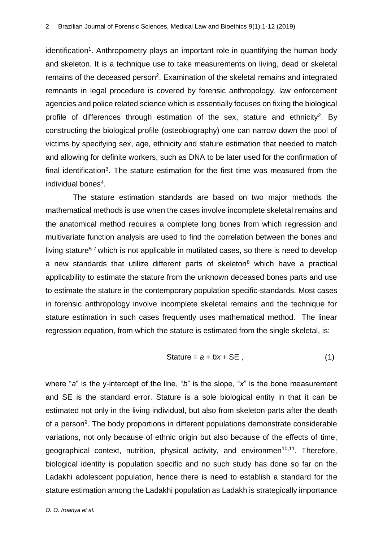identification<sup>1</sup>. Anthropometry plays an important role in quantifying the human body and skeleton. It is a technique use to take measurements on living, dead or skeletal remains of the deceased person<sup>2</sup>. Examination of the skeletal remains and integrated remnants in legal procedure is covered by forensic anthropology, law enforcement agencies and police related science which is essentially focuses on fixing the biological profile of differences through estimation of the sex, stature and ethnicity<sup>2</sup>. By constructing the biological profile (osteobiography) one can narrow down the pool of victims by specifying sex, age, ethnicity and stature estimation that needed to match and allowing for definite workers, such as DNA to be later used for the confirmation of final identification<sup>3</sup>. The stature estimation for the first time was measured from the individual bones<sup>4</sup>.

The stature estimation standards are based on two major methods the mathematical methods is use when the cases involve incomplete skeletal remains and the anatomical method requires a complete long bones from which regression and multivariate function analysis are used to find the correlation between the bones and living stature<sup>5-7</sup> which is not applicable in mutilated cases, so there is need to develop a new standards that utilize different parts of skeleton $8$  which have a practical applicability to estimate the stature from the unknown deceased bones parts and use to estimate the stature in the contemporary population specific-standards. Most cases in forensic anthropology involve incomplete skeletal remains and the technique for stature estimation in such cases frequently uses mathematical method. The linear regression equation, from which the stature is estimated from the single skeletal, is:

$$
State = a + bx + SE , \t\t(1)
$$

where "*a*" is the y-intercept of the line, "*b*" is the slope, "*x*" is the bone measurement and SE is the standard error. Stature is a sole biological entity in that it can be estimated not only in the living individual, but also from skeleton parts after the death of a person<sup>9</sup>. The body proportions in different populations demonstrate considerable variations, not only because of ethnic origin but also because of the effects of time, geographical context, nutrition, physical activity, and environmen<sup>10,11</sup>. Therefore, biological identity is population specific and no such study has done so far on the Ladakhi adolescent population, hence there is need to establish a standard for the stature estimation among the Ladakhi population as Ladakh is strategically importance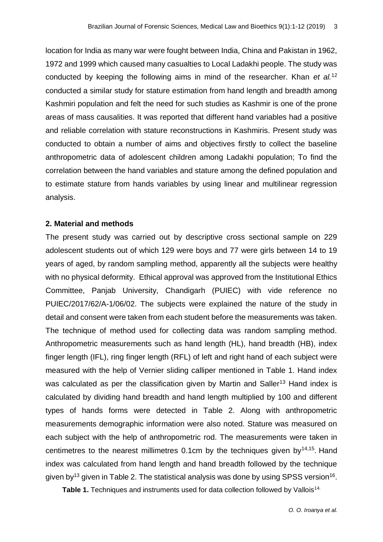location for India as many war were fought between India, China and Pakistan in 1962, 1972 and 1999 which caused many casualties to Local Ladakhi people. The study was conducted by keeping the following aims in mind of the researcher. Khan *et al.*<sup>12</sup> conducted a similar study for stature estimation from hand length and breadth among Kashmiri population and felt the need for such studies as Kashmir is one of the prone areas of mass causalities. It was reported that different hand variables had a positive and reliable correlation with stature reconstructions in Kashmiris. Present study was conducted to obtain a number of aims and objectives firstly to collect the baseline anthropometric data of adolescent children among Ladakhi population; To find the correlation between the hand variables and stature among the defined population and to estimate stature from hands variables by using linear and multilinear regression analysis.

## **2. Material and methods**

The present study was carried out by descriptive cross sectional sample on 229 adolescent students out of which 129 were boys and 77 were girls between 14 to 19 years of aged, by random sampling method, apparently all the subjects were healthy with no physical deformity. Ethical approval was approved from the Institutional Ethics Committee, Panjab University, Chandigarh (PUIEC) with vide reference no PUIEC/2017/62/A-1/06/02. The subjects were explained the nature of the study in detail and consent were taken from each student before the measurements was taken. The technique of method used for collecting data was random sampling method. Anthropometric measurements such as hand length (HL), hand breadth (HB), index finger length (IFL), ring finger length (RFL) of left and right hand of each subject were measured with the help of Vernier sliding calliper mentioned in Table 1. Hand index was calculated as per the classification given by Martin and Saller<sup>13</sup> Hand index is calculated by dividing hand breadth and hand length multiplied by 100 and different types of hands forms were detected in Table 2. Along with anthropometric measurements demographic information were also noted. Stature was measured on each subject with the help of anthropometric rod. The measurements were taken in centimetres to the nearest millimetres  $0.1$ cm by the techniques given by<sup>14,15</sup>. Hand index was calculated from hand length and hand breadth followed by the technique given by<sup>13</sup> given in Table 2. The statistical analysis was done by using SPSS version<sup>16</sup>.

Table 1. Techniques and instruments used for data collection followed by Vallois<sup>14.</sup>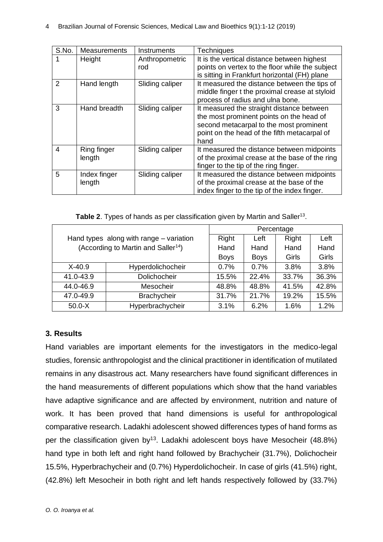| S.No.          | Measurements           | Instruments           | <b>Techniques</b>                                                                                                                                                                        |
|----------------|------------------------|-----------------------|------------------------------------------------------------------------------------------------------------------------------------------------------------------------------------------|
|                | Height                 | Anthropometric<br>rod | It is the vertical distance between highest<br>points on vertex to the floor while the subject<br>is sitting in Frankfurt horizontal (FH) plane                                          |
| $\overline{2}$ | Hand length            | Sliding caliper       | It measured the distance between the tips of<br>middle finger t the proximal crease at styloid<br>process of radius and ulna bone.                                                       |
| 3              | Hand breadth           | Sliding caliper       | It measured the straight distance between<br>the most prominent points on the head of<br>second metacarpal to the most prominent<br>point on the head of the fifth metacarpal of<br>hand |
| 4              | Ring finger<br>length  | Sliding caliper       | It measured the distance between midpoints<br>of the proximal crease at the base of the ring<br>finger to the tip of the ring finger.                                                    |
| 5              | Index finger<br>length | Sliding caliper       | It measured the distance between midpoints<br>of the proximal crease at the base of the<br>index finger to the tip of the index finger.                                                  |

Table 2. Types of hands as per classification given by Martin and Saller<sup>13</sup>.

|                                 | Percentage                                      |             |             |       |       |
|---------------------------------|-------------------------------------------------|-------------|-------------|-------|-------|
|                                 | Hand types along with range – variation         | Right       | Left        | Right | Left  |
|                                 | (According to Martin and Saller <sup>14</sup> ) | Hand        | Hand        | Hand  | Hand  |
|                                 |                                                 | <b>Boys</b> | <b>Boys</b> | Girls | Girls |
| $X-40.9$                        | Hyperdolichocheir                               | 0.7%        | 0.7%        | 3.8%  | 3.8%  |
| 41.0-43.9                       | Dolichocheir                                    | 15.5%       | 22.4%       | 33.7% | 36.3% |
| 44.0-46.9                       | Mesocheir                                       |             | 48.8%       | 41.5% | 42.8% |
| 47.0-49.9<br><b>Brachycheir</b> |                                                 | 31.7%       | 21.7%       | 19.2% | 15.5% |
| Hyperbrachycheir<br>$50.0 - X$  |                                                 | 3.1%        | 6.2%        | 1.6%  | 1.2%  |

# **3. Results**

Hand variables are important elements for the investigators in the medico-legal studies, forensic anthropologist and the clinical practitioner in identification of mutilated remains in any disastrous act. Many researchers have found significant differences in the hand measurements of different populations which show that the hand variables have adaptive significance and are affected by environment, nutrition and nature of work. It has been proved that hand dimensions is useful for anthropological comparative research. Ladakhi adolescent showed differences types of hand forms as per the classification given by<sup>13</sup>. Ladakhi adolescent boys have Mesocheir (48.8%) hand type in both left and right hand followed by Brachycheir (31.7%), Dolichocheir 15.5%, Hyperbrachycheir and (0.7%) Hyperdolichocheir. In case of girls (41.5%) right, (42.8%) left Mesocheir in both right and left hands respectively followed by (33.7%)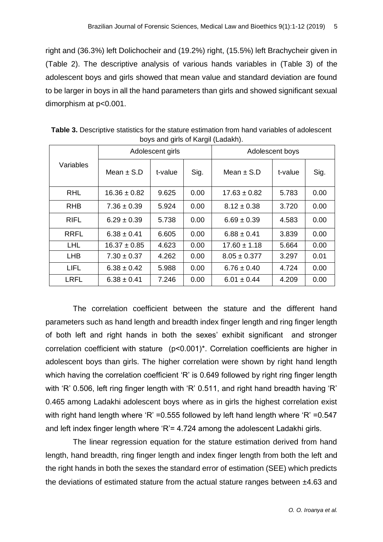right and (36.3%) left Dolichocheir and (19.2%) right, (15.5%) left Brachycheir given in (Table 2). The descriptive analysis of various hands variables in (Table 3) of the adolescent boys and girls showed that mean value and standard deviation are found to be larger in boys in all the hand parameters than girls and showed significant sexual dimorphism at p<0.001.

|             |                  | Adolescent girls |      | Adolescent boys  |         |      |
|-------------|------------------|------------------|------|------------------|---------|------|
| Variables   | Mean $\pm$ S.D   | t-value          | Sig. | Mean $\pm$ S.D   | t-value | Sig. |
| <b>RHL</b>  | $16.36 \pm 0.82$ | 9.625            | 0.00 | $17.63 \pm 0.82$ | 5.783   | 0.00 |
| <b>RHB</b>  | $7.36 \pm 0.39$  | 5.924            | 0.00 | $8.12 \pm 0.38$  | 3.720   | 0.00 |
| <b>RIFL</b> | $6.29 \pm 0.39$  | 5.738            | 0.00 | $6.69 \pm 0.39$  | 4.583   | 0.00 |
| <b>RRFL</b> | $6.38 \pm 0.41$  | 6.605            | 0.00 | $6.88 \pm 0.41$  | 3.839   | 0.00 |
| <b>LHL</b>  | $16.37 \pm 0.85$ | 4.623            | 0.00 | $17.60 \pm 1.18$ | 5.664   | 0.00 |
| <b>LHB</b>  | $7.30 \pm 0.37$  | 4.262            | 0.00 | $8.05 \pm 0.377$ | 3.297   | 0.01 |
| <b>LIFL</b> | $6.38 \pm 0.42$  | 5.988            | 0.00 | $6.76 \pm 0.40$  | 4.724   | 0.00 |
| <b>LRFL</b> | $6.38 \pm 0.41$  | 7.246            | 0.00 | $6.01 \pm 0.44$  | 4.209   | 0.00 |

**Table 3.** Descriptive statistics for the stature estimation from hand variables of adolescent boys and girls of Kargil (Ladakh).

The correlation coefficient between the stature and the different hand parameters such as hand length and breadth index finger length and ring finger length of both left and right hands in both the sexes' exhibit significant and stronger correlation coefficient with stature (p˂0.001)\*. Correlation coefficients are higher in adolescent boys than girls. The higher correlation were shown by right hand length which having the correlation coefficient 'R' is 0.649 followed by right ring finger length with 'R' 0.506, left ring finger length with 'R' 0.511, and right hand breadth having 'R' 0.465 among Ladakhi adolescent boys where as in girls the highest correlation exist with right hand length where 'R' = 0.555 followed by left hand length where 'R' = 0.547 and left index finger length where 'R'= 4.724 among the adolescent Ladakhi girls.

The linear regression equation for the stature estimation derived from hand length, hand breadth, ring finger length and index finger length from both the left and the right hands in both the sexes the standard error of estimation (SEE) which predicts the deviations of estimated stature from the actual stature ranges between ±4.63 and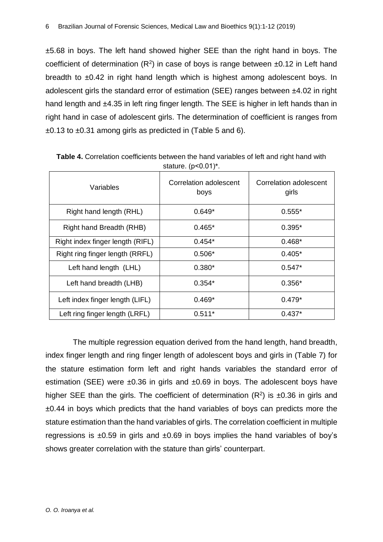±5.68 in boys. The left hand showed higher SEE than the right hand in boys. The coefficient of determination  $(R^2)$  in case of boys is range between  $\pm 0.12$  in Left hand breadth to ±0.42 in right hand length which is highest among adolescent boys. In adolescent girls the standard error of estimation (SEE) ranges between ±4.02 in right hand length and ±4.35 in left ring finger length. The SEE is higher in left hands than in right hand in case of adolescent girls. The determination of coefficient is ranges from ±0.13 to ±0.31 among girls as predicted in (Table 5 and 6).

| Variables                        | Correlation adolescent<br>boys | Correlation adolescent<br>girls |  |
|----------------------------------|--------------------------------|---------------------------------|--|
| Right hand length (RHL)          | $0.649*$                       | $0.555*$                        |  |
| Right hand Breadth (RHB)         | $0.465*$                       | $0.395*$                        |  |
| Right index finger length (RIFL) | $0.454*$                       | $0.468*$                        |  |
| Right ring finger length (RRFL)  | $0.506*$                       | $0.405*$                        |  |
| Left hand length (LHL)           | $0.380*$                       | $0.547*$                        |  |
| Left hand breadth (LHB)          | $0.354*$                       | $0.356*$                        |  |
| Left index finger length (LIFL)  | $0.469*$                       | $0.479*$                        |  |
| Left ring finger length (LRFL)   | $0.511*$                       | $0.437*$                        |  |

**Table 4.** Correlation coefficients between the hand variables of left and right hand with stature. (p˂0.01)\*.

The multiple regression equation derived from the hand length, hand breadth, index finger length and ring finger length of adolescent boys and girls in (Table 7) for the stature estimation form left and right hands variables the standard error of estimation (SEE) were  $\pm 0.36$  in girls and  $\pm 0.69$  in boys. The adolescent boys have higher SEE than the girls. The coefficient of determination  $(R^2)$  is  $\pm 0.36$  in girls and  $\pm 0.44$  in boys which predicts that the hand variables of boys can predicts more the stature estimation than the hand variables of girls. The correlation coefficient in multiple regressions is  $\pm 0.59$  in girls and  $\pm 0.69$  in boys implies the hand variables of boy's shows greater correlation with the stature than girls' counterpart.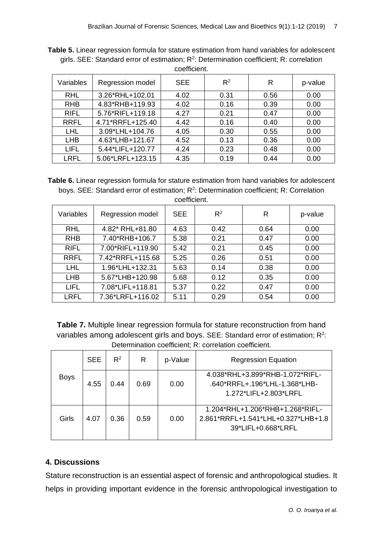| <u>UUTIILITII.</u> |                  |            |       |      |         |  |
|--------------------|------------------|------------|-------|------|---------|--|
| Variables          | Regression model | <b>SEE</b> | $R^2$ | R    | p-value |  |
| <b>RHL</b>         | 3.26*RHL+102.01  | 4.02       | 0.31  | 0.56 | 0.00    |  |
| <b>RHB</b>         | 4.83*RHB+119.93  | 4.02       | 0.16  | 0.39 | 0.00    |  |
| <b>RIFL</b>        | 5.76*RIFL+119.18 | 4.27       | 0.21  | 0.47 | 0.00    |  |
| <b>RRFL</b>        | 4.71*RRFL+125.40 | 4.42       | 0.16  | 0.40 | 0.00    |  |
| <b>LHL</b>         | 3.09*LHL+104.76  | 4.05       | 0.30  | 0.55 | 0.00    |  |
| <b>LHB</b>         | 4.63*LHB+121.67  | 4.52       | 0.13  | 0.36 | 0.00    |  |
| <b>LIFL</b>        | 5.44*LIFL+120.77 | 4.24       | 0.23  | 0.48 | 0.00    |  |
| <b>LRFL</b>        | 5.06*LRFL+123.15 | 4.35       | 0.19  | 0.44 | 0.00    |  |

**Table 5.** Linear regression formula for stature estimation from hand variables for adolescent girls. SEE: Standard error of estimation;  $R^2$ : Determination coefficient; R: correlation coefficient

**Table 6.** Linear regression formula for stature estimation from hand variables for adolescent boys. SEE: Standard error of estimation;  $R^2$ : Determination coefficient; R: Correlation coefficient.

| Variables   | Regression model | <b>SEE</b> | $R^2$ | R    | p-value |
|-------------|------------------|------------|-------|------|---------|
| <b>RHL</b>  | 4.82* RHL+81.80  | 4.63       | 0.42  | 0.64 | 0.00    |
| <b>RHB</b>  | 7.40*RHB+106.7   | 5.38       | 0.21  | 0.47 | 0.00    |
| <b>RIFL</b> | 7.00*RIFL+119.90 | 5.42       | 0.21  | 0.45 | 0.00    |
| <b>RRFL</b> | 7.42*RRFL+115.68 | 5.25       | 0.26  | 0.51 | 0.00    |
| <b>LHL</b>  | 1.96*LHL+132.31  | 5.63       | 0.14  | 0.38 | 0.00    |
| <b>LHB</b>  | 5.67*LHB+120.98  | 5.68       | 0.12  | 0.35 | 0.00    |
| <b>LIFL</b> | 7.08*LIFL+118.81 | 5.37       | 0.22  | 0.47 | 0.00    |
| <b>LRFL</b> | 7.36*LRFL+116.02 | 5.11       | 0.29  | 0.54 | 0.00    |

**Table 7.** Multiple linear regression formula for stature reconstruction from hand variables among adolescent girls and boys. SEE: Standard error of estimation;  $R^2$ : Determination coefficient; R: correlation coefficient.

|             | <b>SEE</b> | $R^2$ | R    | p-Value | <b>Regression Equation</b>                                                                  |
|-------------|------------|-------|------|---------|---------------------------------------------------------------------------------------------|
| <b>Boys</b> | 4.55       | 0.44  | 0.69 | 0.00    | 4.038*RHL+3.899*RHB-1.072*RIFL-<br>.640*RRFL+.196*LHL-1.368*LHB-<br>1.272*LIFL+2.803*LRFL   |
| Girls       | 4.07       | 0.36  | 0.59 | 0.00    | 1.204*RHL+1.206*RHB+1.268*RIFL-<br>2.861*RRFL+1.541*LHL+0.327*LHB+1.8<br>39*LIFL+0.668*LRFL |

# **4. Discussions**

Stature reconstruction is an essential aspect of forensic and anthropological studies. It helps in providing important evidence in the forensic anthropological investigation to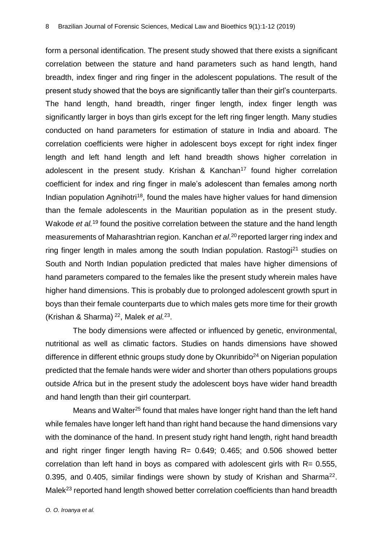form a personal identification. The present study showed that there exists a significant correlation between the stature and hand parameters such as hand length, hand breadth, index finger and ring finger in the adolescent populations. The result of the present study showed that the boys are significantly taller than their girl's counterparts. The hand length, hand breadth, ringer finger length, index finger length was significantly larger in boys than girls except for the left ring finger length. Many studies conducted on hand parameters for estimation of stature in India and aboard. The correlation coefficients were higher in adolescent boys except for right index finger length and left hand length and left hand breadth shows higher correlation in adolescent in the present study. Krishan & Kanchan<sup>17</sup> found higher correlation coefficient for index and ring finger in male's adolescent than females among north Indian population Agnihotri<sup>18</sup>, found the males have higher values for hand dimension than the female adolescents in the Mauritian population as in the present study. Wakode *et al.*<sup>19</sup> found the positive correlation between the stature and the hand length measurements of Maharashtrian region. Kanchan et al.<sup>20</sup> reported larger ring index and ring finger length in males among the south Indian population. Rastogi<sup>21</sup> studies on South and North Indian population predicted that males have higher dimensions of hand parameters compared to the females like the present study wherein males have higher hand dimensions. This is probably due to prolonged adolescent growth spurt in boys than their female counterparts due to which males gets more time for their growth (Krishan & Sharma) <sup>22</sup>, Malek *et al.*<sup>23</sup> .

The body dimensions were affected or influenced by genetic, environmental, nutritional as well as climatic factors. Studies on hands dimensions have showed difference in different ethnic groups study done by Okunribido<sup>24</sup> on Nigerian population predicted that the female hands were wider and shorter than others populations groups outside Africa but in the present study the adolescent boys have wider hand breadth and hand length than their girl counterpart.

Means and Walter<sup>25</sup> found that males have longer right hand than the left hand while females have longer left hand than right hand because the hand dimensions vary with the dominance of the hand. In present study right hand length, right hand breadth and right ringer finger length having  $R = 0.649$ ; 0.465; and 0.506 showed better correlation than left hand in boys as compared with adolescent girls with R= 0.555, 0.395, and 0.405, similar findings were shown by study of Krishan and Sharma<sup>22</sup>. Malek<sup>23</sup> reported hand length showed better correlation coefficients than hand breadth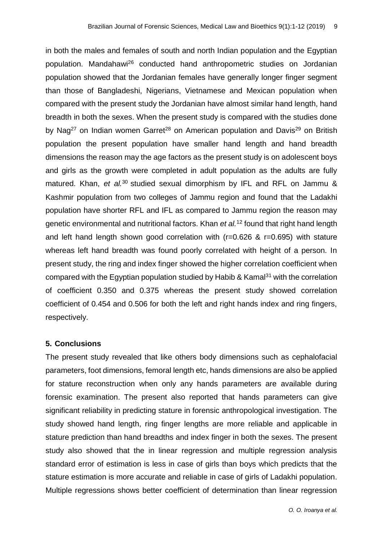in both the males and females of south and north Indian population and the Egyptian population. Mandahawi<sup>26</sup> conducted hand anthropometric studies on Jordanian population showed that the Jordanian females have generally longer finger segment than those of Bangladeshi, Nigerians, Vietnamese and Mexican population when compared with the present study the Jordanian have almost similar hand length, hand breadth in both the sexes. When the present study is compared with the studies done by Nag<sup>27</sup> on Indian women Garret<sup>28</sup> on American population and Davis<sup>29</sup> on British population the present population have smaller hand length and hand breadth dimensions the reason may the age factors as the present study is on adolescent boys and girls as the growth were completed in adult population as the adults are fully matured. Khan, *et al.*<sup>30</sup> studied sexual dimorphism by IFL and RFL on Jammu & Kashmir population from two colleges of Jammu region and found that the Ladakhi population have shorter RFL and IFL as compared to Jammu region the reason may genetic environmental and nutritional factors. Khan *et al.*<sup>12</sup> found that right hand length and left hand length shown good correlation with (r=0.626 & r=0.695) with stature whereas left hand breadth was found poorly correlated with height of a person. In present study, the ring and index finger showed the higher correlation coefficient when compared with the Egyptian population studied by Habib & Kamal $31$  with the correlation of coefficient 0.350 and 0.375 whereas the present study showed correlation coefficient of 0.454 and 0.506 for both the left and right hands index and ring fingers, respectively.

#### **5. Conclusions**

The present study revealed that like others body dimensions such as cephalofacial parameters, foot dimensions, femoral length etc, hands dimensions are also be applied for stature reconstruction when only any hands parameters are available during forensic examination. The present also reported that hands parameters can give significant reliability in predicting stature in forensic anthropological investigation. The study showed hand length, ring finger lengths are more reliable and applicable in stature prediction than hand breadths and index finger in both the sexes. The present study also showed that the in linear regression and multiple regression analysis standard error of estimation is less in case of girls than boys which predicts that the stature estimation is more accurate and reliable in case of girls of Ladakhi population. Multiple regressions shows better coefficient of determination than linear regression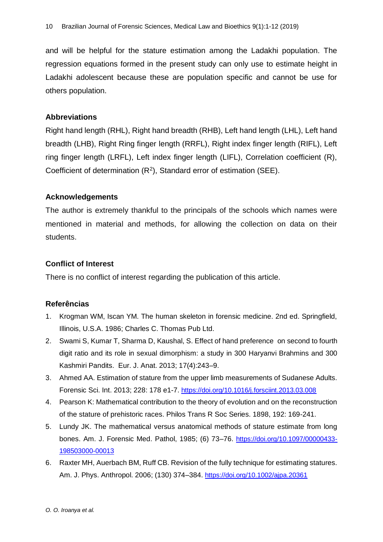and will be helpful for the stature estimation among the Ladakhi population. The regression equations formed in the present study can only use to estimate height in Ladakhi adolescent because these are population specific and cannot be use for others population.

## **Abbreviations**

Right hand length (RHL), Right hand breadth (RHB), Left hand length (LHL), Left hand breadth (LHB), Right Ring finger length (RRFL), Right index finger length (RIFL), Left ring finger length (LRFL), Left index finger length (LIFL), Correlation coefficient (R), Coefficient of determination  $(R^2)$ , Standard error of estimation (SEE).

## **Acknowledgements**

The author is extremely thankful to the principals of the schools which names were mentioned in material and methods, for allowing the collection on data on their students.

# **Conflict of Interest**

There is no conflict of interest regarding the publication of this article.

#### **Referências**

- 1. Krogman WM, Iscan YM. The human skeleton in forensic medicine. 2nd ed. Springfield, Illinois, U.S.A. 1986; Charles C. Thomas Pub Ltd.
- 2. Swami S, Kumar T, Sharma D, Kaushal, S. Effect of hand preference on second to fourth digit ratio and its role in sexual dimorphism: a study in 300 Haryanvi Brahmins and 300 Kashmiri Pandits. Eur. J. Anat. 2013; 17(4):243–9.
- 3. Ahmed AA. Estimation of stature from the upper limb measurements of Sudanese Adults. Forensic Sci. Int. 2013; 228: 178 e1-7. <https://doi.org/10.1016/j.forsciint.2013.03.008>
- 4. Pearson K: Mathematical contribution to the theory of evolution and on the reconstruction of the stature of prehistoric races. Philos Trans R Soc Series. 1898, 192: 169-241.
- 5. Lundy JK. The mathematical versus anatomical methods of stature estimate from long bones. Am. J. Forensic Med. Pathol, 1985; (6) 73–76. [https://doi.org/10.1097/00000433-](https://doi.org/10.1097/00000433-198503000-00013) [198503000-00013](https://doi.org/10.1097/00000433-198503000-00013)
- 6. Raxter MH, Auerbach BM, Ruff CB. Revision of the fully technique for estimating statures. Am. J. Phys. Anthropol. 2006; (130) 374–384. <https://doi.org/10.1002/ajpa.20361>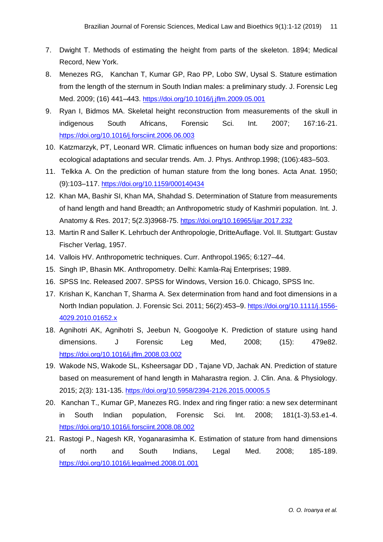- 7. Dwight T. Methods of estimating the height from parts of the skeleton. 1894; Medical Record, New York.
- 8. Menezes RG, Kanchan T, Kumar GP, Rao PP, Lobo SW, Uysal S. Stature estimation from the length of the sternum in South Indian males: a preliminary study. J. Forensic Leg Med. 2009; (16) 441–443. <https://doi.org/10.1016/j.jflm.2009.05.001>
- 9. Ryan I, Bidmos MA. Skeletal height reconstruction from measurements of the skull in indigenous South Africans, Forensic Sci. Int. 2007; 167:16-21. <https://doi.org/10.1016/j.forsciint.2006.06.003>
- 10. Katzmarzyk, PT, Leonard WR. Climatic influences on human body size and proportions: ecological adaptations and secular trends. Am. J. Phys. Anthrop.1998; (106):483–503.
- 11. Telkka A. On the prediction of human stature from the long bones. Acta Anat. 1950; (9):103–117. <https://doi.org/10.1159/000140434>
- 12. Khan MA, Bashir SI, Khan MA, Shahdad S. Determination of Stature from measurements of hand length and hand Breadth; an Anthropometric study of Kashmiri population. Int. J. Anatomy & Res. 2017; 5(2.3)3968-75. <https://doi.org/10.16965/ijar.2017.232>
- 13. Martin R and Saller K. Lehrbuch der Anthropologie, DritteAuflage. Vol. II. Stuttgart: Gustav Fischer Verlag, 1957.
- 14. Vallois HV. Anthropometric techniques. Curr. Anthropol.1965; 6:127–44.
- 15. Singh IP, Bhasin MK. Anthropometry. Delhi: Kamla-Raj Enterprises; 1989.
- 16. SPSS Inc. Released 2007. SPSS for Windows, Version 16.0. Chicago, SPSS Inc.
- 17. Krishan K, Kanchan T, Sharma A. Sex determination from hand and foot dimensions in a North Indian population. J. Forensic Sci. 2011; 56(2):453–9. [https://doi.org/10.1111/j.1556-](https://doi.org/10.1111/j.1556-4029.2010.01652.x) [4029.2010.01652.x](https://doi.org/10.1111/j.1556-4029.2010.01652.x)
- 18. Agnihotri AK, Agnihotri S, Jeebun N, Googoolye K. Prediction of stature using hand dimensions. J Forensic Leg Med, 2008; (15): 479e82. <https://doi.org/10.1016/j.jflm.2008.03.002>
- 19. Wakode NS, Wakode SL, Ksheersagar DD , Tajane VD, Jachak AN. Prediction of stature based on measurement of hand length in Maharastra region. J. Clin. Ana. & Physiology. 2015; 2(3): 131-135. <https://doi.org/10.5958/2394-2126.2015.00005.5>
- 20. Kanchan T., Kumar GP, Manezes RG. Index and ring finger ratio: a new sex determinant in South Indian population, Forensic Sci. Int. 2008; 181(1-3).53.e1-4. <https://doi.org/10.1016/j.forsciint.2008.08.002>
- 21. Rastogi P., Nagesh KR, Yoganarasimha K. Estimation of stature from hand dimensions of north and South Indians, Legal Med. 2008; 185-189. <https://doi.org/10.1016/j.legalmed.2008.01.001>